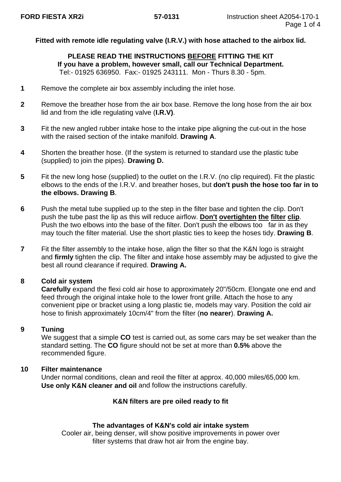# **Fitted with remote idle regulating valve (I.R.V.) with hose attached to the airbox lid.**

## **PLEASE READ THE INSTRUCTIONS BEFORE FITTING THE KIT If you have a problem, however small, call our Technical Department.** Tel:- 01925 636950. Fax:- 01925 243111. Mon - Thurs 8.30 - 5pm.

- **1** Remove the complete air box assembly including the inlet hose.
- **2** Remove the breather hose from the air box base. Remove the long hose from the air box lid and from the idle regulating valve (**I.R.V)**.
- **3** Fit the new angled rubber intake hose to the intake pipe aligning the cut-out in the hose with the raised section of the intake manifold. **Drawing A**.
- **4** Shorten the breather hose. (If the system is returned to standard use the plastic tube (supplied) to join the pipes). **Drawing D.**
- **5** Fit the new long hose (supplied) to the outlet on the I.R.V. (no clip required). Fit the plastic elbows to the ends of the I.R.V. and breather hoses, but **don't push the hose too far in to the elbows. Drawing B**.
- **6** Push the metal tube supplied up to the step in the filter base and tighten the clip. Don't push the tube past the lip as this will reduce airflow. **Don't overtighten the filter clip**. Push the two elbows into the base of the filter. Don't push the elbows too far in as they may touch the filter material. Use the short plastic ties to keep the hoses tidy. **Drawing B**.
- **7** Fit the filter assembly to the intake hose, align the filter so that the K&N logo is straight and **firmly** tighten the clip. The filter and intake hose assembly may be adjusted to give the best all round clearance if required. **Drawing A.**

## **8 Cold air system**

**Carefully** expand the flexi cold air hose to approximately 20"/50cm. Elongate one end and feed through the original intake hole to the lower front grille. Attach the hose to any convenient pipe or bracket using a long plastic tie, models may vary. Position the cold air hose to finish approximately 10cm/4" from the filter (**no nearer**). **Drawing A.**

## **9 Tuning**

We suggest that a simple **CO** test is carried out, as some cars may be set weaker than the standard setting. The **CO** figure should not be set at more than **0.5%** above the recommended figure.

## **10 Filter maintenance**

Under normal conditions, clean and reoil the filter at approx. 40,000 miles/65,000 km. **Use only K&N cleaner and oil** and follow the instructions carefully.

## **K&N filters are pre oiled ready to fit**

### **The advantages of K&N's cold air intake system**

Cooler air, being denser, will show positive improvements in power over filter systems that draw hot air from the engine bay.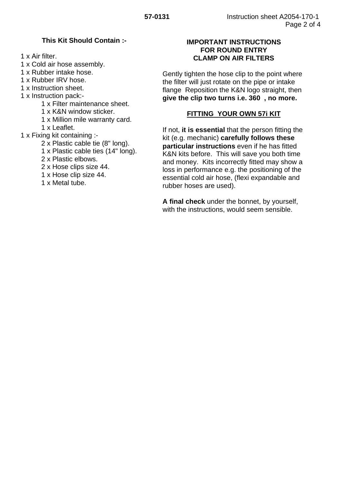## **This Kit Should Contain :-**

1 x Air filter.

- 1 x Cold air hose assembly.
- 1 x Rubber intake hose.
- 1 x Rubber IRV hose.
- 1 x Instruction sheet.
- 1 x Instruction pack:-
	- 1 x Filter maintenance sheet.
	- 1 x K&N window sticker.
	- 1 x Million mile warranty card.
	- 1 x Leaflet.
- 1 x Fixing kit containing :-
	- 2 x Plastic cable tie (8" long).
	- 1 x Plastic cable ties (14" long).
	- 2 x Plastic elbows.
	- 2 x Hose clips size 44.
	- 1 x Hose clip size 44.
	- 1 x Metal tube.

# **IMPORTANT INSTRUCTIONS FOR ROUND ENTRY CLAMP ON AIR FILTERS**

Gently tighten the hose clip to the point where the filter will just rotate on the pipe or intake flange Reposition the K&N logo straight, then **give the clip two turns i.e. 360 , no more.**

# **FITTING YOUR OWN 57i KIT**

If not, **it is essential** that the person fitting the kit (e.g. mechanic) **carefully follows these particular instructions** even if he has fitted K&N kits before. This will save you both time and money. Kits incorrectly fitted may show a loss in performance e.g. the positioning of the essential cold air hose, (flexi expandable and rubber hoses are used).

**A final check** under the bonnet, by yourself, with the instructions, would seem sensible.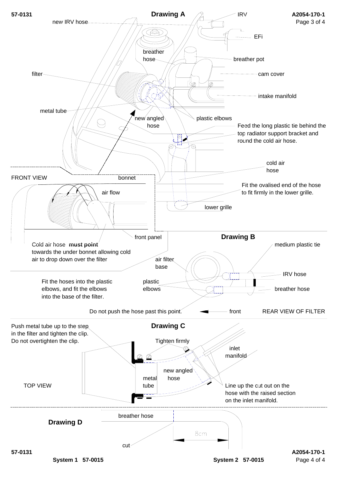